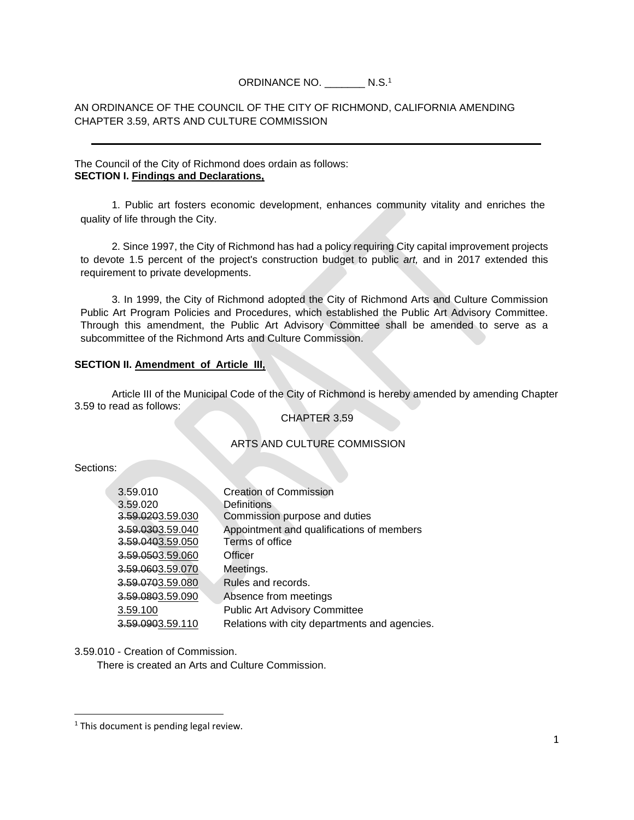# ORDINANCE NO. \_\_\_\_\_\_\_ N.S.<sup>1</sup>

# AN ORDINANCE OF THE COUNCIL OF THE CITY OF RICHMOND, CALIFORNIA AMENDING CHAPTER 3.59, ARTS AND CULTURE COMMISSION

### The Council of the City of Richmond does ordain as follows: **SECTION I. Findings and Declarations,**

1. Public art fosters economic development, enhances community vitality and enriches the quality of life through the City.

2. Since 1997, the City of Richmond has had a policy requiring City capital improvement projects to devote 1.5 percent of the project's construction budget to public *art,* and in 2017 extended this requirement to private developments.

3. In 1999, the City of Richmond adopted the City of Richmond Arts and Culture Commission Public Art Program Policies and Procedures, which established the Public Art Advisory Committee. Through this amendment, the Public Art Advisory Committee shall be amended to serve as a subcommittee of the Richmond Arts and Culture Commission.

### **SECTION II. Amendment of Article III,**

Article III of the Municipal Code of the City of Richmond is hereby amended by amending Chapter 3.59 to read as follows:

# CHAPTER 3.59

### ARTS AND CULTURE COMMISSION

#### Sections:

| 3.59.010         | <b>Creation of Commission</b>                 |
|------------------|-----------------------------------------------|
| 3.59.020         | Definitions                                   |
| 3.59.0203.59.030 | Commission purpose and duties                 |
| 3.59.0303.59.040 | Appointment and qualifications of members     |
| 3.59.0403.59.050 | Terms of office                               |
| 3.59.0503.59.060 | Officer                                       |
| 3.59.0603.59.070 | Meetings.                                     |
| 3.59.0703.59.080 | Rules and records.                            |
| 3.59.0803.59.090 | Absence from meetings                         |
| 3.59.100         | <b>Public Art Advisory Committee</b>          |
| 3.59.0903.59.110 | Relations with city departments and agencies. |
|                  |                                               |

3.59.010 - Creation of Commission.

There is created an Arts and Culture Commission.

<sup>&</sup>lt;sup>1</sup> This document is pending legal review.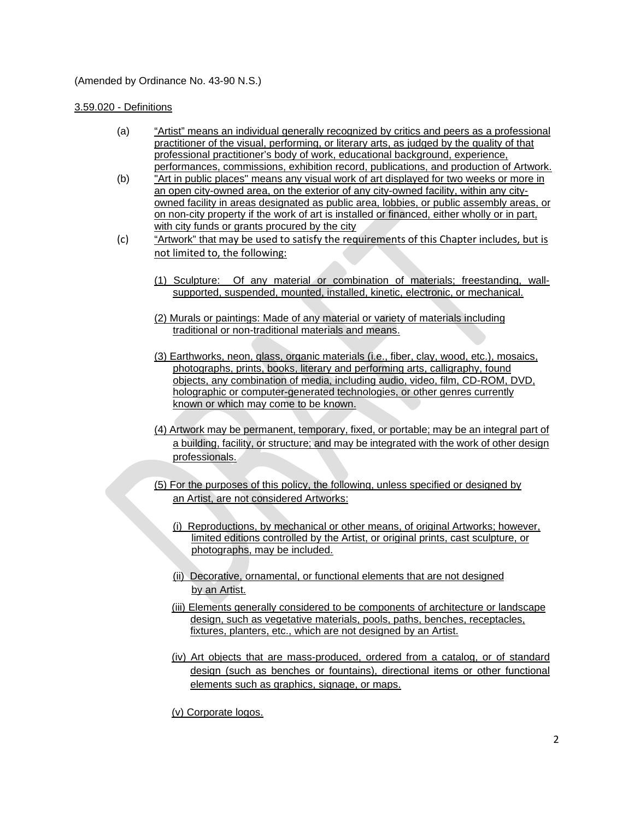# (Amended by Ordinance No. 43-90 N.S.)

## 3.59.020 - Definitions

- (a) "Artist" means an individual generally recognized by critics and peers as a professional practitioner of the visual, performing, or literary arts, as judged by the quality of that professional practitioner's body of work, educational background, experience, performances, commissions, exhibition record, publications, and production of Artwork.
- (b) "Art in public places" means any visual work of art displayed for two weeks or more in an open city-owned area, on the exterior of any city-owned facility, within any cityowned facility in areas designated as public area, lobbies, or public assembly areas, or on non-city property if the work of art is installed or financed, either wholly or in part, with city funds or grants procured by the city
- (c) "Artwork" that may be used to satisfy the requirements of this Chapter includes, but is not limited to, the following:
	- (1) Sculpture: Of any material or combination of materials; freestanding, wallsupported, suspended, mounted, installed, kinetic, electronic, or mechanical.
	- (2) Murals or paintings: Made of any material or variety of materials including traditional or non-traditional materials and means.
	- (3) Earthworks, neon, glass, organic materials (i.e., fiber, clay, wood, etc.), mosaics, photographs, prints, books, literary and performing arts, calligraphy, found objects, any combination of media, including audio, video, film, CD-ROM, DVD, holographic or computer-generated technologies, or other genres currently known or which may come to be known.
	- (4) Artwork may be permanent, temporary, fixed, or portable; may be an integral part of a building, facility, or structure; and may be integrated with the work of other design professionals.
	- (5) For the purposes of this policy, the following, unless specified or designed by an Artist, are not considered Artworks:
		- (i) Reproductions, by mechanical or other means, of original Artworks; however, limited editions controlled by the Artist, or original prints, cast sculpture, or photographs, may be included.
		- (ii) Decorative, ornamental, or functional elements that are not designed by an Artist.
		- (iii) Elements generally considered to be components of architecture or landscape design, such as vegetative materials, pools, paths, benches, receptacles, fixtures, planters, etc., which are not designed by an Artist.
		- (iv) Art objects that are mass-produced, ordered from a catalog, or of standard design (such as benches or fountains), directional items or other functional elements such as graphics, signage, or maps.

(v) Corporate logos.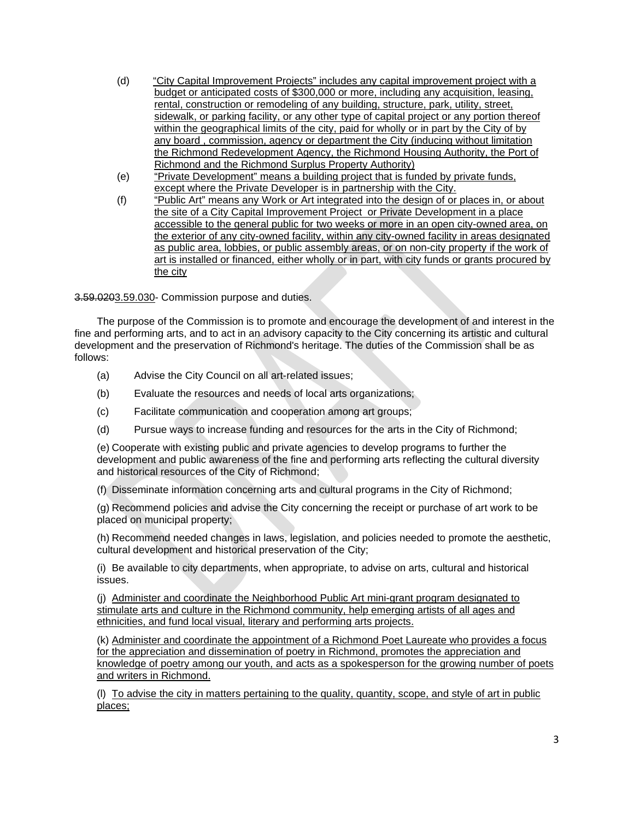- (d) "City Capital Improvement Projects" includes any capital improvement project with a budget or anticipated costs of \$300,000 or more, including any acquisition, leasing, rental, construction or remodeling of any building, structure, park, utility, street, sidewalk, or parking facility, or any other type of capital project or any portion thereof within the geographical limits of the city, paid for wholly or in part by the City of by any board , commission, agency or department the City (inducing without limitation the Richmond Redevelopment Agency, the Richmond Housing Authority, the Port of Richmond and the Richmond Surplus Property Authority)
- (e) "Private Development" means a building project that is funded by private funds, except where the Private Developer is in partnership with the City.
- (f) "Public Art" means any Work or Art integrated into the design of or places in, or about the site of a City Capital Improvement Project or Private Development in a place accessible to the general public for two weeks or more in an open city-owned area, on the exterior of any city-owned facility, within any city-owned facility in areas designated as public area, lobbies, or public assembly areas, or on non-city property if the work of art is installed or financed, either wholly or in part, with city funds or grants procured by the city

3.59.0203.59.030- Commission purpose and duties.

The purpose of the Commission is to promote and encourage the development of and interest in the fine and performing arts, and to act in an advisory capacity to the City concerning its artistic and cultural development and the preservation of Richmond's heritage. The duties of the Commission shall be as follows:

- (a) Advise the City Council on all art-related issues;
- (b) Evaluate the resources and needs of local arts organizations;
- (c) Facilitate communication and cooperation among art groups;
- (d) Pursue ways to increase funding and resources for the arts in the City of Richmond;

(e) Cooperate with existing public and private agencies to develop programs to further the development and public awareness of the fine and performing arts reflecting the cultural diversity and historical resources of the City of Richmond;

(f) Disseminate information concerning arts and cultural programs in the City of Richmond;

(g) Recommend policies and advise the City concerning the receipt or purchase of art work to be placed on municipal property;

(h) Recommend needed changes in laws, legislation, and policies needed to promote the aesthetic, cultural development and historical preservation of the City;

(i) Be available to city departments, when appropriate, to advise on arts, cultural and historical issues.

(j) Administer and coordinate the Neighborhood Public Art mini-grant program designated to stimulate arts and culture in the Richmond community, help emerging artists of all ages and ethnicities, and fund local visual, literary and performing arts projects.

(k) Administer and coordinate the appointment of a Richmond Poet Laureate who provides a focus for the appreciation and dissemination of poetry in Richmond, promotes the appreciation and knowledge of poetry among our youth, and acts as a spokesperson for the growing number of poets and writers in Richmond.

(l) To advise the city in matters pertaining to the quality, quantity, scope, and style of art in public places;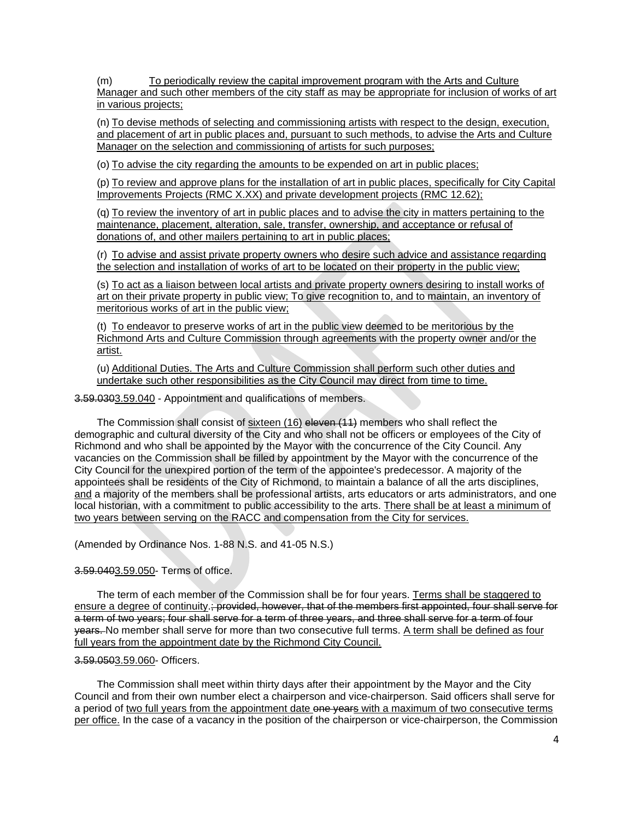(m) To periodically review the capital improvement program with the Arts and Culture Manager and such other members of the city staff as may be appropriate for inclusion of works of art in various projects;

(n) To devise methods of selecting and commissioning artists with respect to the design, execution, and placement of art in public places and, pursuant to such methods, to advise the Arts and Culture Manager on the selection and commissioning of artists for such purposes;

(o) To advise the city regarding the amounts to be expended on art in public places;

(p) To review and approve plans for the installation of art in public places, specifically for City Capital Improvements Projects (RMC X.XX) and private development projects (RMC 12.62);

(q) To review the inventory of art in public places and to advise the city in matters pertaining to the maintenance, placement, alteration, sale, transfer, ownership, and acceptance or refusal of donations of, and other mailers pertaining to art in public places;

(r) To advise and assist private property owners who desire such advice and assistance regarding the selection and installation of works of art to be located on their property in the public view;

(s) To act as a liaison between local artists and private property owners desiring to install works of art on their private property in public view; To give recognition to, and to maintain, an inventory of meritorious works of art in the public view;

(t) To endeavor to preserve works of art in the public view deemed to be meritorious by the Richmond Arts and Culture Commission through agreements with the property owner and/or the artist.

(u) Additional Duties. The Arts and Culture Commission shall perform such other duties and undertake such other responsibilities as the City Council may direct from time to time.

3.59.0303.59.040 - Appointment and qualifications of members.

The Commission shall consist of sixteen (16) eleven (11) members who shall reflect the demographic and cultural diversity of the City and who shall not be officers or employees of the City of Richmond and who shall be appointed by the Mayor with the concurrence of the City Council. Any vacancies on the Commission shall be filled by appointment by the Mayor with the concurrence of the City Council for the unexpired portion of the term of the appointee's predecessor. A majority of the appointees shall be residents of the City of Richmond, to maintain a balance of all the arts disciplines, and a majority of the members shall be professional artists, arts educators or arts administrators, and one local historian, with a commitment to public accessibility to the arts. There shall be at least a minimum of two years between serving on the RACC and compensation from the City for services.

(Amended by Ordinance Nos. 1-88 N.S. and 41-05 N.S.)

# 3.59.0403.59.050- Terms of office.

The term of each member of the Commission shall be for four years. Terms shall be staggered to ensure a degree of continuity.; provided, however, that of the members first appointed, four shall serve for a term of two years; four shall serve for a term of three years, and three shall serve for a term of four years. No member shall serve for more than two consecutive full terms. A term shall be defined as four full years from the appointment date by the Richmond City Council.

# 3.59.0503.59.060- Officers.

The Commission shall meet within thirty days after their appointment by the Mayor and the City Council and from their own number elect a chairperson and vice-chairperson. Said officers shall serve for a period of two full years from the appointment date one years with a maximum of two consecutive terms per office. In the case of a vacancy in the position of the chairperson or vice-chairperson, the Commission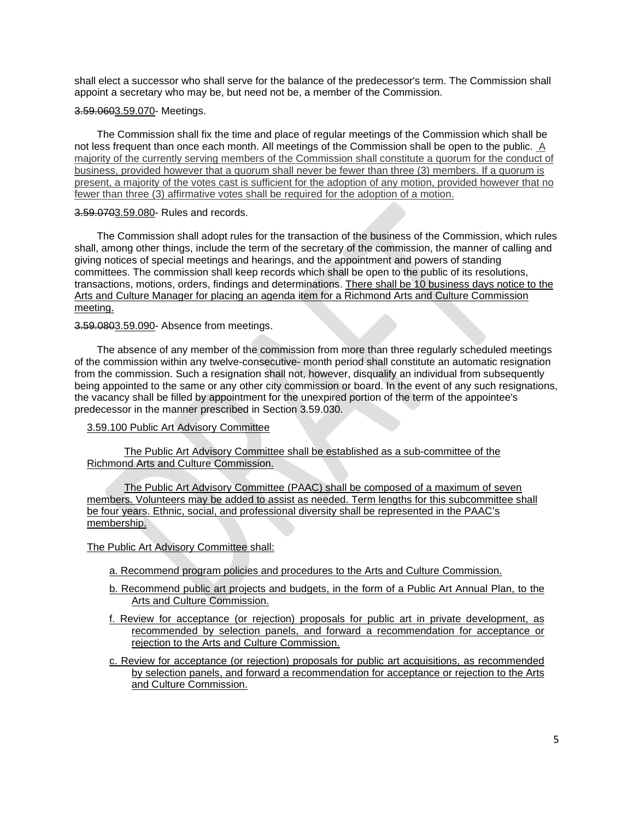shall elect a successor who shall serve for the balance of the predecessor's term. The Commission shall appoint a secretary who may be, but need not be, a member of the Commission.

#### 3.59.0603.59.070- Meetings.

The Commission shall fix the time and place of regular meetings of the Commission which shall be not less frequent than once each month. All meetings of the Commission shall be open to the public. A majority of the currently serving members of the Commission shall constitute a quorum for the conduct of business, provided however that a quorum shall never be fewer than three (3) members. If a quorum is present, a majority of the votes cast is sufficient for the adoption of any motion, provided however that no fewer than three (3) affirmative votes shall be required for the adoption of a motion.

#### 3.59.0703.59.080- Rules and records.

The Commission shall adopt rules for the transaction of the business of the Commission, which rules shall, among other things, include the term of the secretary of the commission, the manner of calling and giving notices of special meetings and hearings, and the appointment and powers of standing committees. The commission shall keep records which shall be open to the public of its resolutions, transactions, motions, orders, findings and determinations. There shall be 10 business days notice to the Arts and Culture Manager for placing an agenda item for a Richmond Arts and Culture Commission meeting.

#### 3.59.0803.59.090- Absence from meetings.

The absence of any member of the commission from more than three regularly scheduled meetings of the commission within any twelve-consecutive- month period shall constitute an automatic resignation from the commission. Such a resignation shall not, however, disqualify an individual from subsequently being appointed to the same or any other city commission or board. In the event of any such resignations, the vacancy shall be filled by appointment for the unexpired portion of the term of the appointee's predecessor in the manner prescribed in Section 3.59.030.

# 3.59.100 Public Art Advisory Committee

The Public Art Advisory Committee shall be established as a sub-committee of the Richmond Arts and Culture Commission.

The Public Art Advisory Committee (PAAC) shall be composed of a maximum of seven members. Volunteers may be added to assist as needed. Term lengths for this subcommittee shall be four years. Ethnic, social, and professional diversity shall be represented in the PAAC's membership.

### The Public Art Advisory Committee shall:

- a. Recommend program policies and procedures to the Arts and Culture Commission.
- b. Recommend public art projects and budgets, in the form of a Public Art Annual Plan, to the Arts and Culture Commission.
- f. Review for acceptance (or rejection) proposals for public art in private development, as recommended by selection panels, and forward a recommendation for acceptance or rejection to the Arts and Culture Commission.
- c. Review for acceptance (or rejection) proposals for public art acquisitions, as recommended by selection panels, and forward a recommendation for acceptance or rejection to the Arts and Culture Commission.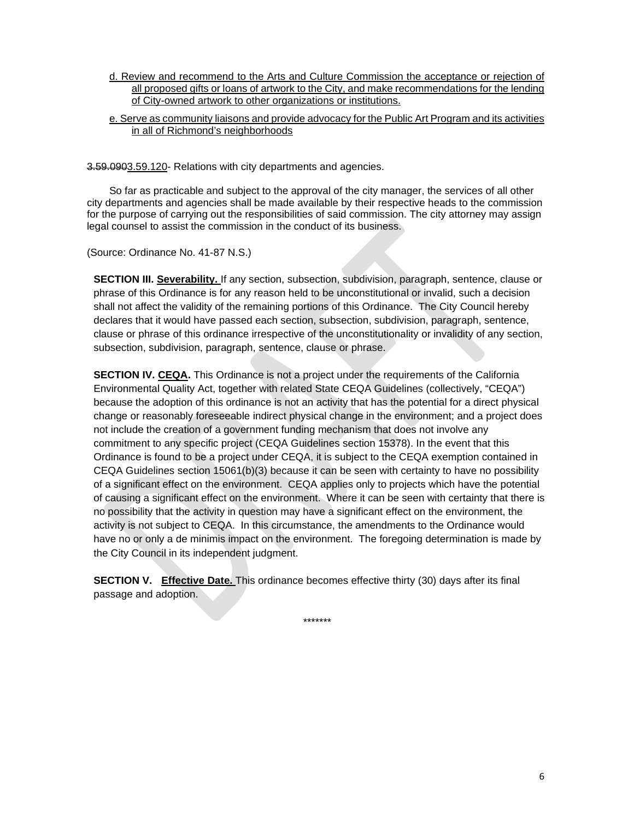d. Review and recommend to the Arts and Culture Commission the acceptance or rejection of all proposed gifts or loans of artwork to the City, and make recommendations for the lending of City-owned artwork to other organizations or institutions.

## e. Serve as community liaisons and provide advocacy for the Public Art Program and its activities in all of Richmond's neighborhoods

3.59.0903.59.120- Relations with city departments and agencies.

So far as practicable and subject to the approval of the city manager, the services of all other city departments and agencies shall be made available by their respective heads to the commission for the purpose of carrying out the responsibilities of said commission. The city attorney may assign legal counsel to assist the commission in the conduct of its business.

(Source: Ordinance No. 41-87 N.S.)

**SECTION III. Severability.** If any section, subsection, subdivision, paragraph, sentence, clause or phrase of this Ordinance is for any reason held to be unconstitutional or invalid, such a decision shall not affect the validity of the remaining portions of this Ordinance. The City Council hereby declares that it would have passed each section, subsection, subdivision, paragraph, sentence, clause or phrase of this ordinance irrespective of the unconstitutionality or invalidity of any section, subsection, subdivision, paragraph, sentence, clause or phrase.

**SECTION IV. CEQA.** This Ordinance is not a project under the requirements of the California Environmental Quality Act, together with related State CEQA Guidelines (collectively, "CEQA") because the adoption of this ordinance is not an activity that has the potential for a direct physical change or reasonably foreseeable indirect physical change in the environment; and a project does not include the creation of a government funding mechanism that does not involve any commitment to any specific project (CEQA Guidelines section 15378). In the event that this Ordinance is found to be a project under CEQA, it is subject to the CEQA exemption contained in CEQA Guidelines section 15061(b)(3) because it can be seen with certainty to have no possibility of a significant effect on the environment. CEQA applies only to projects which have the potential of causing a significant effect on the environment. Where it can be seen with certainty that there is no possibility that the activity in question may have a significant effect on the environment, the activity is not subject to CEQA. In this circumstance, the amendments to the Ordinance would have no or only a de minimis impact on the environment. The foregoing determination is made by the City Council in its independent judgment.

**SECTION V.** Effective Date. This ordinance becomes effective thirty (30) days after its final passage and adoption.

\*\*\*\*\*\*\*